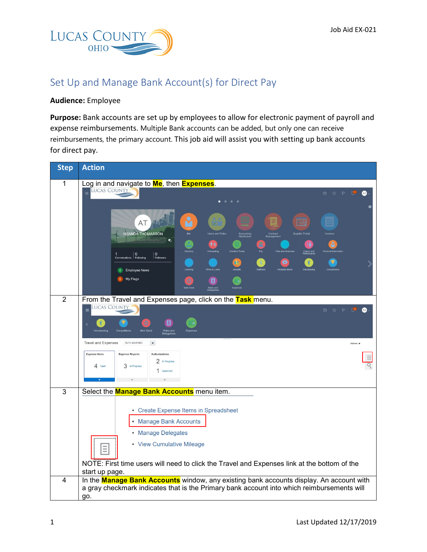

## Set Up and Manage Bank Account(s) for Direct Pay

## **Audience:** Employee

**Purpose:** Bank accounts are set up by employees to allow for electronic payment of payroll and expense reimbursements. Multiple Bank accounts can be added, but only one can receive reimbursements, the primary account. This job aid will assist you with setting up bank accounts for direct pay.

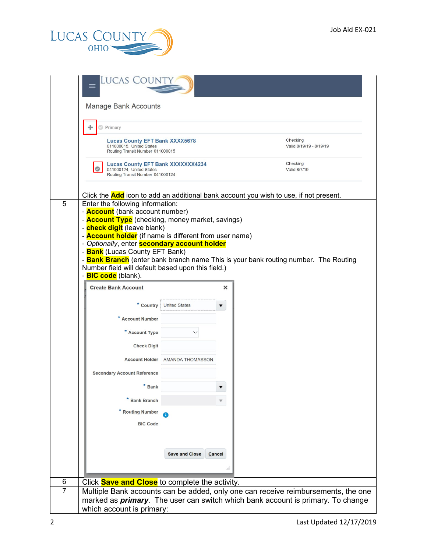

|                | Lucas Count                                                                                                                                                                                                                                                                                                                                                                                       |                                 |        |                                                                                                                                                                                     |  |
|----------------|---------------------------------------------------------------------------------------------------------------------------------------------------------------------------------------------------------------------------------------------------------------------------------------------------------------------------------------------------------------------------------------------------|---------------------------------|--------|-------------------------------------------------------------------------------------------------------------------------------------------------------------------------------------|--|
|                | <b>Manage Bank Accounts</b>                                                                                                                                                                                                                                                                                                                                                                       |                                 |        |                                                                                                                                                                                     |  |
|                | Primary                                                                                                                                                                                                                                                                                                                                                                                           |                                 |        |                                                                                                                                                                                     |  |
|                | <b>Lucas County EFT Bank XXXX5678</b><br>011000015. United States<br>Routing Transit Number 011000015                                                                                                                                                                                                                                                                                             |                                 |        | Checking<br>Valid 8/19/19 - 8/19/19                                                                                                                                                 |  |
|                | <b>Lucas County EFT Bank XXXXXXX4234</b><br>041000124. United States<br>Routing Transit Number 041000124                                                                                                                                                                                                                                                                                          |                                 |        | Checking<br>Valid 8/7/19                                                                                                                                                            |  |
| 5              | Enter the following information:<br>- <b>Account</b> (bank account number)<br>- <b>Account Type</b> (checking, money market, savings)<br>- <b>check digit</b> (leave blank)<br>- <b>Account holder</b> (if name is different from user name)<br>- Optionally, enter <b>secondary account holder</b><br>- <b>Bank</b> (Lucas County EFT Bank)<br>Number field will default based upon this field.) |                                 |        | Click the <b>Add</b> icon to add an additional bank account you wish to use, if not present.<br>- Bank Branch (enter bank branch name This is your bank routing number. The Routing |  |
|                | - <b>BIC code</b> (blank).                                                                                                                                                                                                                                                                                                                                                                        |                                 |        |                                                                                                                                                                                     |  |
|                | <b>Create Bank Account</b>                                                                                                                                                                                                                                                                                                                                                                        |                                 | ×      |                                                                                                                                                                                     |  |
|                | * Country                                                                                                                                                                                                                                                                                                                                                                                         | <b>United States</b>            | ▼      |                                                                                                                                                                                     |  |
|                | * Account Number                                                                                                                                                                                                                                                                                                                                                                                  |                                 |        |                                                                                                                                                                                     |  |
|                | * Account Type                                                                                                                                                                                                                                                                                                                                                                                    |                                 |        |                                                                                                                                                                                     |  |
|                | <b>Check Digit</b>                                                                                                                                                                                                                                                                                                                                                                                |                                 |        |                                                                                                                                                                                     |  |
|                |                                                                                                                                                                                                                                                                                                                                                                                                   | Account Holder AMANDA THOMASSON |        |                                                                                                                                                                                     |  |
|                | <b>Secondary Account Reference</b>                                                                                                                                                                                                                                                                                                                                                                |                                 |        |                                                                                                                                                                                     |  |
|                | $*$ Bank                                                                                                                                                                                                                                                                                                                                                                                          |                                 |        |                                                                                                                                                                                     |  |
|                | * Bank Branch                                                                                                                                                                                                                                                                                                                                                                                     |                                 |        |                                                                                                                                                                                     |  |
|                | * Routing Number                                                                                                                                                                                                                                                                                                                                                                                  |                                 |        |                                                                                                                                                                                     |  |
|                | <b>BIC Code</b>                                                                                                                                                                                                                                                                                                                                                                                   |                                 |        |                                                                                                                                                                                     |  |
|                |                                                                                                                                                                                                                                                                                                                                                                                                   |                                 |        |                                                                                                                                                                                     |  |
|                |                                                                                                                                                                                                                                                                                                                                                                                                   | <b>Save and Close</b>           | Cancel |                                                                                                                                                                                     |  |
|                |                                                                                                                                                                                                                                                                                                                                                                                                   |                                 |        |                                                                                                                                                                                     |  |
| 6              | Click <b>Save and Close</b> to complete the activity.                                                                                                                                                                                                                                                                                                                                             |                                 |        |                                                                                                                                                                                     |  |
| $\overline{7}$ | Multiple Bank accounts can be added, only one can receive reimbursements, the one                                                                                                                                                                                                                                                                                                                 |                                 |        |                                                                                                                                                                                     |  |
|                | which account is primary:                                                                                                                                                                                                                                                                                                                                                                         |                                 |        | marked as <i>primary</i> . The user can switch which bank account is primary. To change                                                                                             |  |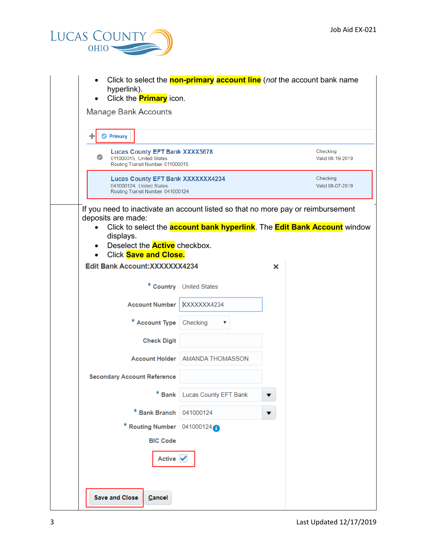

| hyperlink).                                                                                                                                                                                                                 |                                                                              | Click to select the <b>non-primary account line</b> (not the account bank name          |  |  |
|-----------------------------------------------------------------------------------------------------------------------------------------------------------------------------------------------------------------------------|------------------------------------------------------------------------------|-----------------------------------------------------------------------------------------|--|--|
| Click the <b>Primary</b> icon.<br>$\bullet$<br><b>Manage Bank Accounts</b>                                                                                                                                                  |                                                                              |                                                                                         |  |  |
| Primary                                                                                                                                                                                                                     |                                                                              |                                                                                         |  |  |
| ◎<br>011000015, United States                                                                                                                                                                                               | <b>Lucas County EFT Bank XXXX5678</b><br>Routing Transit Number 011000015    |                                                                                         |  |  |
| 041000124, United States                                                                                                                                                                                                    | <b>Lucas County EFT Bank XXXXXXX4234</b><br>Routing Transit Number 041000124 |                                                                                         |  |  |
| If you need to inactivate an account listed so that no more pay or reimbursement<br>deposits are made:<br>$\bullet$<br>displays.<br>Deselect the <b>Active</b> checkbox.<br>$\bullet$<br>Click Save and Close.<br>$\bullet$ |                                                                              | Click to select the <b>account bank hyperlink</b> . The <b>Edit Bank Account</b> window |  |  |
| Edit Bank Account: XXXXXXX4234                                                                                                                                                                                              |                                                                              | ×                                                                                       |  |  |
|                                                                                                                                                                                                                             | * Country United States                                                      |                                                                                         |  |  |
| <b>Account Number</b>                                                                                                                                                                                                       | XXXXXX4234                                                                   |                                                                                         |  |  |
| * Account Type                                                                                                                                                                                                              | Checking<br>▼                                                                |                                                                                         |  |  |
| <b>Check Digit</b>                                                                                                                                                                                                          |                                                                              |                                                                                         |  |  |
|                                                                                                                                                                                                                             | Account Holder   AMANDA THOMASSON                                            |                                                                                         |  |  |
| <b>Secondary Account Reference</b>                                                                                                                                                                                          |                                                                              |                                                                                         |  |  |
|                                                                                                                                                                                                                             | * Bank Lucas County EFT Bank                                                 |                                                                                         |  |  |
| * Bank Branch                                                                                                                                                                                                               | 041000124                                                                    | ▼                                                                                       |  |  |
| * Routing Number 041000124                                                                                                                                                                                                  |                                                                              |                                                                                         |  |  |
| <b>BIC Code</b>                                                                                                                                                                                                             |                                                                              |                                                                                         |  |  |
| Active $\sqrt{}$                                                                                                                                                                                                            |                                                                              |                                                                                         |  |  |
| <b>Save and Close</b><br>Cancel                                                                                                                                                                                             |                                                                              |                                                                                         |  |  |